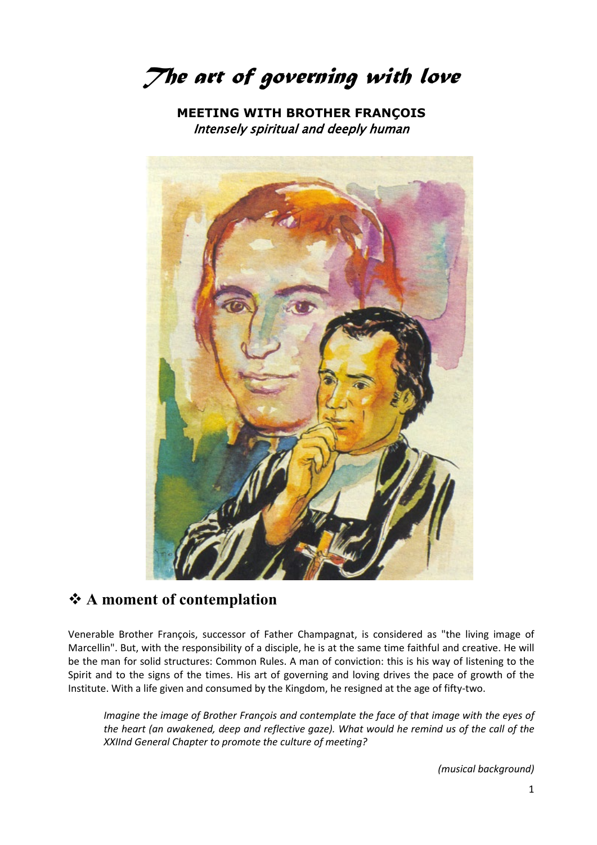*The art of governing with love*

**MEETING WITH BROTHER FRANÇOIS** Intensely spiritual and deeply human



### **A moment of contemplation**

Venerable Brother François, successor of Father Champagnat, is considered as "the living image of Marcellin". But, with the responsibility of a disciple, he is at the same time faithful and creative. He will be the man for solid structures: Common Rules. A man of conviction: this is his way of listening to the Spirit and to the signs of the times. His art of governing and loving drives the pace of growth of the Institute. With a life given and consumed by the Kingdom, he resigned at the age of fifty-two.

*Imagine the image of Brother François and contemplate the face of that image with the eyes of the heart (an awakened, deep and reflective gaze). What would he remind us of the call of the XXIInd General Chapter to promote the culture of meeting?*

*(musical background)*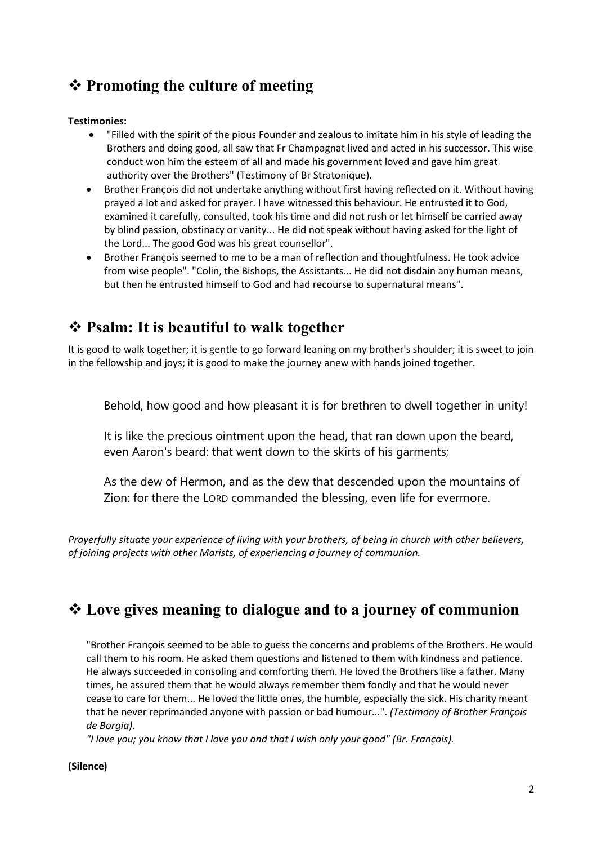# **Promoting the culture of meeting**

#### **Testimonies:**

- "Filled with the spirit of the pious Founder and zealous to imitate him in his style of leading the Brothers and doing good, all saw that Fr Champagnat lived and acted in his successor. This wise conduct won him the esteem of all and made his government loved and gave him great authority over the Brothers" (Testimony of Br Stratonique).
- Brother François did not undertake anything without first having reflected on it. Without having prayed a lot and asked for prayer. I have witnessed this behaviour. He entrusted it to God, examined it carefully, consulted, took his time and did not rush or let himself be carried away by blind passion, obstinacy or vanity... He did not speak without having asked for the light of the Lord... The good God was his great counsellor".
- Brother François seemed to me to be a man of reflection and thoughtfulness. He took advice from wise people". "Colin, the Bishops, the Assistants... He did not disdain any human means, but then he entrusted himself to God and had recourse to supernatural means".

## **Psalm: It is beautiful to walk together**

It is good to walk together; it is gentle to go forward leaning on my brother's shoulder; it is sweet to join in the fellowship and joys; it is good to make the journey anew with hands joined together.

Behold, how good and how pleasant it is for brethren to dwell together in unity!

It is like the precious ointment upon the head, that ran down upon the beard, even Aaron's beard: that went down to the skirts of his garments;

As the dew of Hermon, and as the dew that descended upon the mountains of Zion: for there the LORD commanded the blessing, even life for evermore.

*Prayerfully situate your experience of living with your brothers, of being in church with other believers, of joining projects with other Marists, of experiencing a journey of communion.* 

## **Love gives meaning to dialogue and to a journey of communion**

"Brother François seemed to be able to guess the concerns and problems of the Brothers. He would call them to his room. He asked them questions and listened to them with kindness and patience. He always succeeded in consoling and comforting them. He loved the Brothers like a father. Many times, he assured them that he would always remember them fondly and that he would never cease to care for them... He loved the little ones, the humble, especially the sick. His charity meant that he never reprimanded anyone with passion or bad humour...". *(Testimony of Brother François de Borgia).*

*"I love you; you know that I love you and that I wish only your good" (Br. François).*

#### **(Silence)**